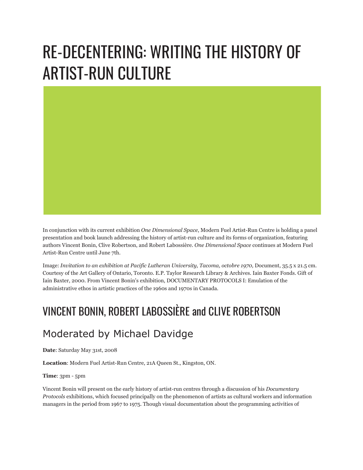## RE-DECENTERING: WRITING THE HISTORY OF ARTIST-RUN CULTURE

In conjunction with its current exhibition *One Dimensional Space*, Modern Fuel Artist-Run Centre is holding a panel presentation and book launch addressing the history of artist-run culture and its forms of organization, featuring authors Vincent Bonin, Clive Robertson, and Robert Labossière. *One Dimensional Space* continues at Modern Fuel Artist-Run Centre until June 7th.

Image: *Invitation to an exhibition at Pacific Lutheran University, Tacoma, octobre 1970,* Document, 35.5 x 21.5 cm. Courtesy of the Art Gallery of Ontario, Toronto. E.P. Taylor Research Library & Archives. Iain Baxter Fonds. Gift of Iain Baxter, 2000. From Vincent Bonin's exhibition, DOCUMENTARY PROTOCOLS I: Emulation of the administrative ethos in artistic practices of the 1960s and 1970s in Canada.

## VINCENT BONIN, ROBERT LABOSSIÈRE and CLIVE ROBERTSON

## Moderated by Michael Davidge

**Date**: Saturday May 31st, 2008

**Location**: Modern Fuel Artist-Run Centre, 21A Queen St., Kingston, ON.

**Time**: 3pm - 5pm

Vincent Bonin will present on the early history of artist-run centres through a discussion of his *Documentary Protocols* exhibitions, which focused principally on the phenomenon of artists as cultural workers and information managers in the period from 1967 to 1975. Though visual documentation about the programming activities of